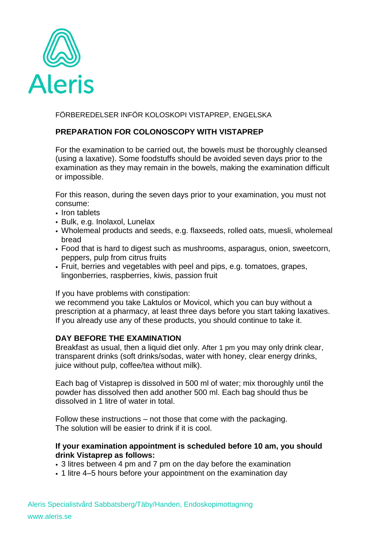

FÖRBEREDELSER INFÖR KOLOSKOPI VISTAPREP, ENGELSKA

## **PREPARATION FOR COLONOSCOPY WITH VISTAPREP**

For the examination to be carried out, the bowels must be thoroughly cleansed (using a laxative). Some foodstuffs should be avoided seven days prior to the examination as they may remain in the bowels, making the examination difficult or impossible.

For this reason, during the seven days prior to your examination, you must not consume:

- Iron tablets
- Bulk, e.g. Inolaxol, Lunelax
- Wholemeal products and seeds, e.g. flaxseeds, rolled oats, muesli, wholemeal bread
- Food that is hard to digest such as mushrooms, asparagus, onion, sweetcorn, peppers, pulp from citrus fruits
- Fruit, berries and vegetables with peel and pips, e.g. tomatoes, grapes, lingonberries, raspberries, kiwis, passion fruit

If you have problems with constipation:

we recommend you take Laktulos or Movicol, which you can buy without a prescription at a pharmacy, at least three days before you start taking laxatives. If you already use any of these products, you should continue to take it.

## **DAY BEFORE THE EXAMINATION**

Breakfast as usual, then a liquid diet only. After 1 pm you may only drink clear, transparent drinks (soft drinks/sodas, water with honey, clear energy drinks, juice without pulp, coffee/tea without milk).

Each bag of Vistaprep is dissolved in 500 ml of water; mix thoroughly until the powder has dissolved then add another 500 ml. Each bag should thus be dissolved in 1 litre of water in total.

Follow these instructions – not those that come with the packaging. The solution will be easier to drink if it is cool.

## **If your examination appointment is scheduled before 10 am, you should drink Vistaprep as follows:**

- 3 litres between 4 pm and 7 pm on the day before the examination
- 1 litre 4–5 hours before your appointment on the examination day